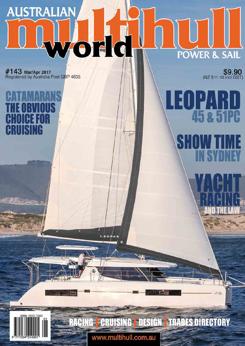# **AUSTRALIAN** YOT IC **POWER & SAIL**

 $L \equiv O f$ 

RACING CRUISING DESIGN TRADES DIRECTORY

www.multihull.com.au

#143 Mar/Apr 2017<br>Registered by Australia Post QBP 4835

F

\$9.90

45 & 51PC

45

**TOPAR**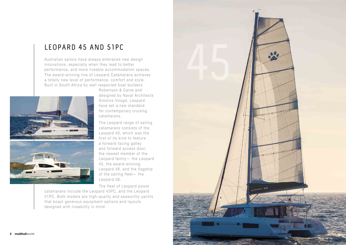

Australian sailors have always embraced new design innovations, especially when they lead to better performance, and more liveable accommodation spaces. The award-winning line of Leopard Catamarans achieves a totally new level of performance, comfort and style. Built in South Africa by well respected boat builders



Robertson & Caine and designed by Naval Architects Simonis-Voogd, Leopard have set a new standard for contemporary cruising catamarans.

The Leopard range of sailing catamarans consists of the Leopard 40, which was the first of its kind to feature a forward facing galley and forward access door, the newest member of the Leopard family— the Leopard 45, the award-winning Leopard 48, and the flagship of the sailing fleet— the Leopard 58.

The fleet of Leopard power

catamarans include the Leopard 43PC, and the Leopard 51PC. Both models are high-quality and seaworthy yachts that boast generous equipment options and layouts designed with liveability in mind.

# Leopard 45 and 51pC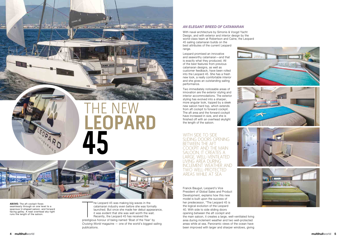T he Leopard 45 was making big waves in the catamaran industry even before she was formally launched. But once she made her debut appearance, it was evident that she was well worth the wait. Recently, the Leopard 45 has received the

prestigious honour of being named 'Boat of the Year' by *Cruising World* magazine — one of the world's biggest sailing publications.

### *An elegAnt breed of cAtAmArAn*

With naval architecture by Simonis & Voogd Yacht Design, and with exterior and interior design by the world-class team at Robertson and Caine, the Leopard 45 sailing catamaran builds on the best attributes of the current Leopard range.

WITH SIDE TO SIDE<br>SLIDING DOORS OF<br>BETWEEN THE AFT<br>COCKPIT AND THE sliding doors opening betWeen the aft cockpit and the main saloon, it creates a large, Well-ventilated living area during inclement Weather and tWo Well-protected areas While at sea

Leopard promised an innovative and seaworthy catamaran—and that is exactly what they produced. All of the best features from previous catamaran designs, as well as customer feedback, have been rolled into the Leopard 45. She has a fresh new look, a really comfortable interior and she gives an outstanding sailing performance.

Two immediately noticeable areas of innovation are the exterior styling and interior accommodations. The exterior styling has evolved into a sharper, more angular look, topped by a sleek new saloon hard top, which extends from aft cockpit to forward cockpit. The aft area and the forward cockpit have increased in size, and she is finished off with an overhead skylight the length of the saloon.





**Leopard**

Franck Bauguil, Leopard's Vice President of Global Sales and Product Development, explains how this new model is built upon the success of her predecessor, "The Leopard 45 is the logical evolution of the Leopard 40. With side to side sliding doors opening between the aft cockpit and

the main saloon, it creates a large, well-ventilated living area during inclement weather and two well-protected areas while at sea. Panoramic views of the ocean have been improved with larger and sharper windows, giving







**above:** The aft cockpit flows seamlessly through on one level to a spacious U-shaped saloon, and forward facing galley. A neat overhead sky-light runs the length of the saloon.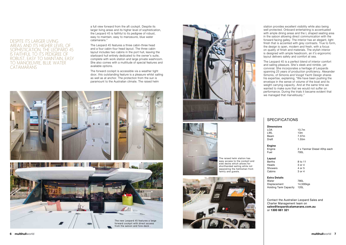#### **Dimensions**

| LOA   | 13.7m |
|-------|-------|
| i Wi  | 13m   |
| Beam  | 7.37m |
| Draft | 1.55m |
|       |       |

# **Engine**<br>**Engine**

fuel 700L

**Layout**

Berths 8 to 11 Heads 3 or 4<br>Showers 4 or 5 **Showers** Cabins 3 or 4

#### **extra Details**

| Water                        | 780L      |
|------------------------------|-----------|
| Displacement                 | 14,500kgs |
| <b>Holding Tank Capacity</b> | 120L      |

 $120L$ 

2 x Yanmar Diesel 45hp each

Contact the Australian Leopard Sales and Charter Management team on **sales@leopardcatamarans.com.au** or **1300 661 321**

a full view forward from the aft cockpit. Despite its larger living areas and its higher level of sophistication, the Leopard 45 is faithful to its pedigree of robust, easy to maintain, easy to manoeuvre, blue water catamarans."

The Leopard 45 features a three cabin-three head and a four cabin-four head layout. The three cabin layout includes two cabins in the port hull, leaving the starboard hull entirely dedicated to the owner's suite, complete with work station and large private washroom. She also comes with a multitude of special features and available options.

The forward cockpit is accessible via a weather tight door, this outstanding feature is a pleasure whilst sailing as well as at anchor. The protection from the sun is paramount to the Australian climate. The raised helm

# despite its larger living areas and its higher level of sophistication, the leopard 45 is faithful to its pedigree of robust, easy to maintain, easy to manoeuvre, blue Water **CATAMARANS**



The raised helm station has easy access to the cockpit and side decks which allows for shorthanded sailing while not separating the helmsman from family and quests.



station provides excellent visibility while also being well protected. Onboard entertaining is accentuated with ample dining areas and the L shaped seating area in the saloon allowing direct communication with the forward facing galley. The interior has an elegant, light finish that is accented with grey contrasts. True to form, the design is open, modern and fresh, with a focus on quality of finish and materials. The stylish interior is designed with ample headroom, an it's ergonomic layout delivers safety and comfort at sea.

The Leopard 45 is a perfect blend of interior comfort and sailing pleasure. She's sleek and nimble, yet convivial. She incorporates a heritage of Leopards spanning 25 years of production proficiency. Alexander Simonis, of Simonis and Voogd Yacht Design shares his expertise, explaining, "We have been pushing the envelope in the sense of volume of the boat and its weight carrying capacity. And at the same time we wanted to make sure that we would not suffer on performance. During the trials it became evident that we managed that marvellously."

## **SPECIFICATIONS**



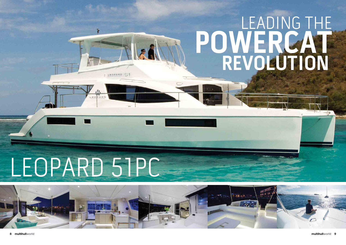



# LEADING THE POWERCA REVOLUTION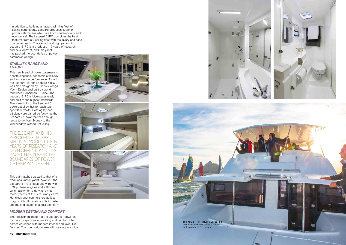n addition to building an award winning fleet of sailing catamarans, Leopard produces superior power catamarans which are both contemporary and economical. The Leopard 51PC combines the best features from our sailing fleet with the luxury and ease of a power yacht. The elegant and high performing Leopard 51PC is a product of 15 years of research and development, and this yacht has pushed the boundaries of power

catamaran design.

#### *StAbility, rAnge And luxury*

This new breed of power catamarans boasts elegance, economic efficiency and focuses on performance. As with the Leopard 45, the Leopard 51PC was also designed by Simonis Voogd Yacht Design and built by world renowned Robertson & Caine. The Leopard 51PC is blue-water ready and built to the highest standards. The sleek hulls of the Leopard 51 powercat allow her to reach top speeds of 25kts. Both agility and efficiency are paired perfectly, as the Leopard 51 powercat has enough range to go from Sydney to the Whitsundays without refuelling.



# the elegant and high performing leopard 51pc is a product of 15 YEARS OF RESEARCH AND development, and this YACHT HAS PUSHED THE boundaries of poWer catamaran design

This cat matches up well to that of a traditional motor yacht, however, the Leopard 51PC is equipped with twin 370hp diesel engines and a 3ft draft, which allow her to go where most motor yachts of this size simply can't. Her sleek and lean hulls create less drag, which ultimately results in faster speeds and exceptional fuel economy.

## *modern deSign And comfort*

The redesigned interior of the Leopard 51 powercat focuses on spacious open living and comfort. She comes equipped with modern interior and jewel-like finishes. The open saloon area with seating in a wide